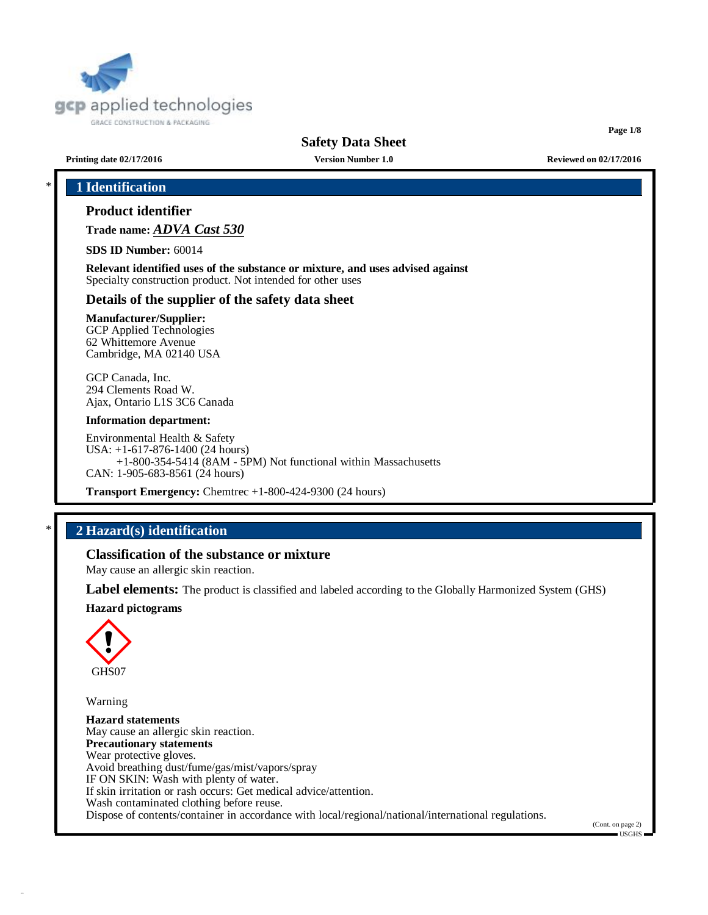

**Page 1/8**

**Printing date 02/17/2016 Version Number 1.0 Reviewed on 02/17/2016**

# \* **1 Identification**

# **Product identifier**

**Trade name:** *ADVA Cast 530*

**SDS ID Number:** 60014

**Relevant identified uses of the substance or mixture, and uses advised against** Specialty construction product. Not intended for other uses

# **Details of the supplier of the safety data sheet**

### **Manufacturer/Supplier:**

GCP Applied Technologies 62 Whittemore Avenue Cambridge, MA 02140 USA

GCP Canada, Inc. 294 Clements Road W. Ajax, Ontario L1S 3C6 Canada

#### **Information department:**

Environmental Health & Safety USA: +1-617-876-1400 (24 hours) +1-800-354-5414 (8AM - 5PM) Not functional within Massachusetts CAN: 1-905-683-8561 (24 hours)

**Transport Emergency:** Chemtrec +1-800-424-9300 (24 hours)

# \* **2 Hazard(s) identification**

# **Classification of the substance or mixture**

May cause an allergic skin reaction.

**Label elements:** The product is classified and labeled according to the Globally Harmonized System (GHS)

#### **Hazard pictograms**



Warning

**Hazard statements** May cause an allergic skin reaction. **Precautionary statements** Wear protective gloves. Avoid breathing dust/fume/gas/mist/vapors/spray IF ON SKIN: Wash with plenty of water. If skin irritation or rash occurs: Get medical advice/attention. Wash contaminated clothing before reuse. Dispose of contents/container in accordance with local/regional/national/international regulations.

(Cont. on page 2)

 $-IISGHS$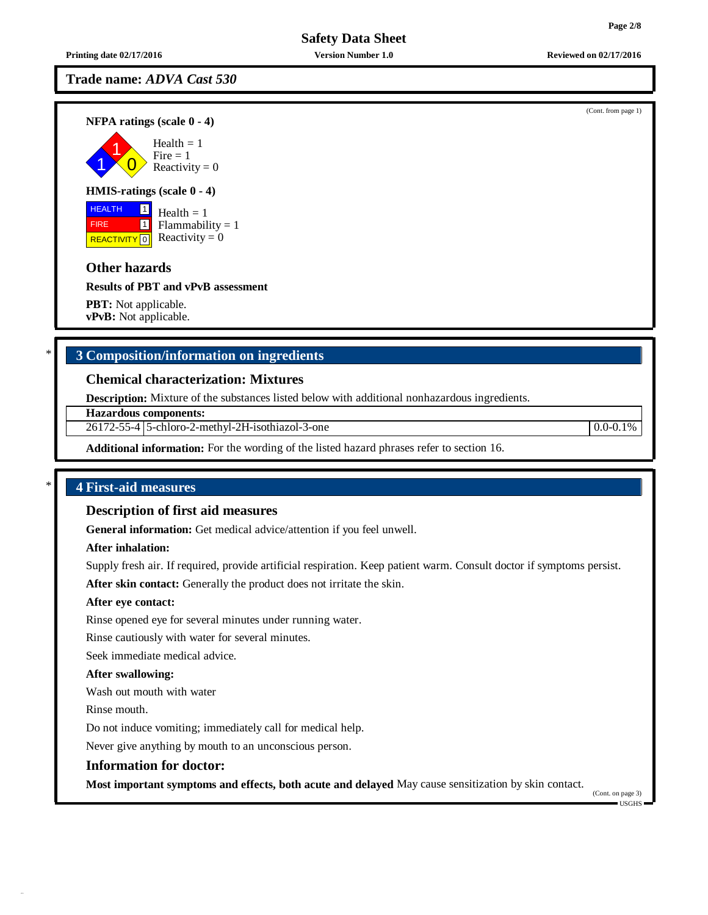**Printing date 02/17/2016 Version Number 1.0 Reviewed on 02/17/2016**

# **Trade name:** *ADVA Cast 530*

**NFPA ratings (scale 0 - 4)**



### **HMIS-ratings (scale 0 - 4)**

**HEALTH FIRE** REACTIVITY  $\boxed{0}$  Reactivity = 0 1 1 Health  $= 1$  $Flammability = 1$ 

# **Other hazards**

**Results of PBT and vPvB assessment**

**PBT:** Not applicable. **vPvB:** Not applicable.

# \* **3 Composition/information on ingredients**

# **Chemical characterization: Mixtures**

**Description:** Mixture of the substances listed below with additional nonhazardous ingredients.

**Hazardous components:**

26172-55-4 5-chloro-2-methyl-2H-isothiazol-3-one 0.0-0.1%

**Additional information:** For the wording of the listed hazard phrases refer to section 16.

# \* **4 First-aid measures**

### **Description of first aid measures**

**General information:** Get medical advice/attention if you feel unwell.

### **After inhalation:**

Supply fresh air. If required, provide artificial respiration. Keep patient warm. Consult doctor if symptoms persist.

**After skin contact:** Generally the product does not irritate the skin.

## **After eye contact:**

Rinse opened eye for several minutes under running water.

Rinse cautiously with water for several minutes.

Seek immediate medical advice.

#### **After swallowing:**

Wash out mouth with water

Rinse mouth.

Do not induce vomiting; immediately call for medical help.

Never give anything by mouth to an unconscious person.

#### **Information for doctor:**

**Most important symptoms and effects, both acute and delayed** May cause sensitization by skin contact.

(Cont. on page 3)

USGHS

(Cont. from page 1)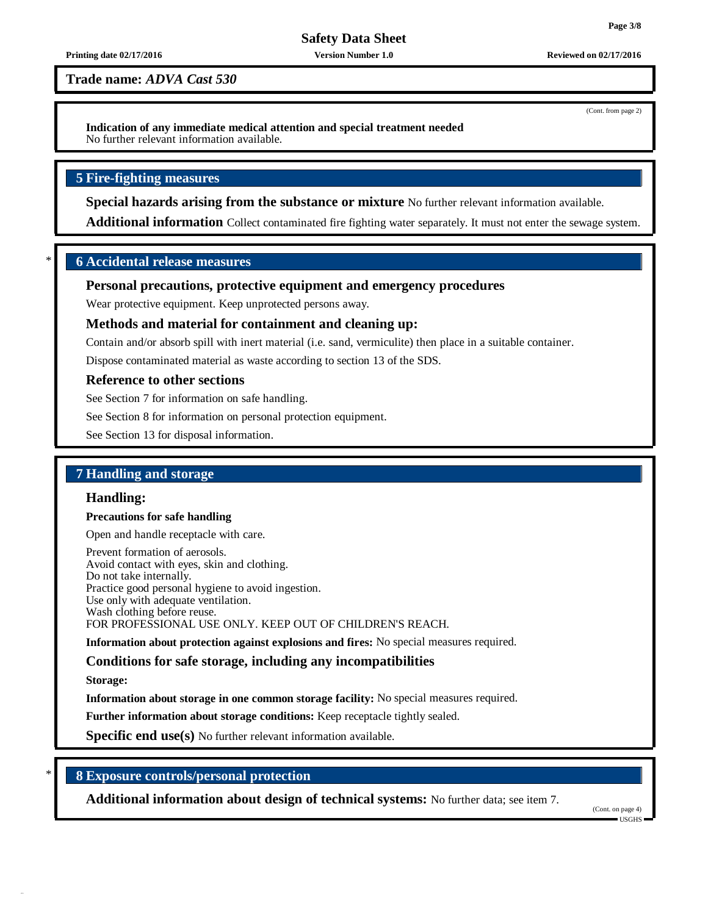#### **Printing date 02/17/2016 Version Number 1.0 Reviewed on 02/17/2016**

**Trade name:** *ADVA Cast 530*

**Indication of any immediate medical attention and special treatment needed** No further relevant information available.

# **5 Fire-fighting measures**

**Special hazards arising from the substance or mixture** No further relevant information available.

**Additional information** Collect contaminated fire fighting water separately. It must not enter the sewage system.

# \* **6 Accidental release measures**

# **Personal precautions, protective equipment and emergency procedures**

Wear protective equipment. Keep unprotected persons away.

# **Methods and material for containment and cleaning up:**

Contain and/or absorb spill with inert material (i.e. sand, vermiculite) then place in a suitable container.

Dispose contaminated material as waste according to section 13 of the SDS.

#### **Reference to other sections**

See Section 7 for information on safe handling.

See Section 8 for information on personal protection equipment.

See Section 13 for disposal information.

# **7 Handling and storage**

#### **Handling:**

#### **Precautions for safe handling**

Open and handle receptacle with care.

Prevent formation of aerosols. Avoid contact with eyes, skin and clothing. Do not take internally. Practice good personal hygiene to avoid ingestion. Use only with adequate ventilation. Wash clothing before reuse. FOR PROFESSIONAL USE ONLY. KEEP OUT OF CHILDREN'S REACH.

**Information about protection against explosions and fires:** No special measures required.

# **Conditions for safe storage, including any incompatibilities**

**Storage:**

**Information about storage in one common storage facility:** No special measures required.

**Further information about storage conditions:** Keep receptacle tightly sealed.

**Specific end use(s)** No further relevant information available.

# \* **8 Exposure controls/personal protection**

**Additional information about design of technical systems:** No further data; see item 7.

(Cont. on page 4) USGHS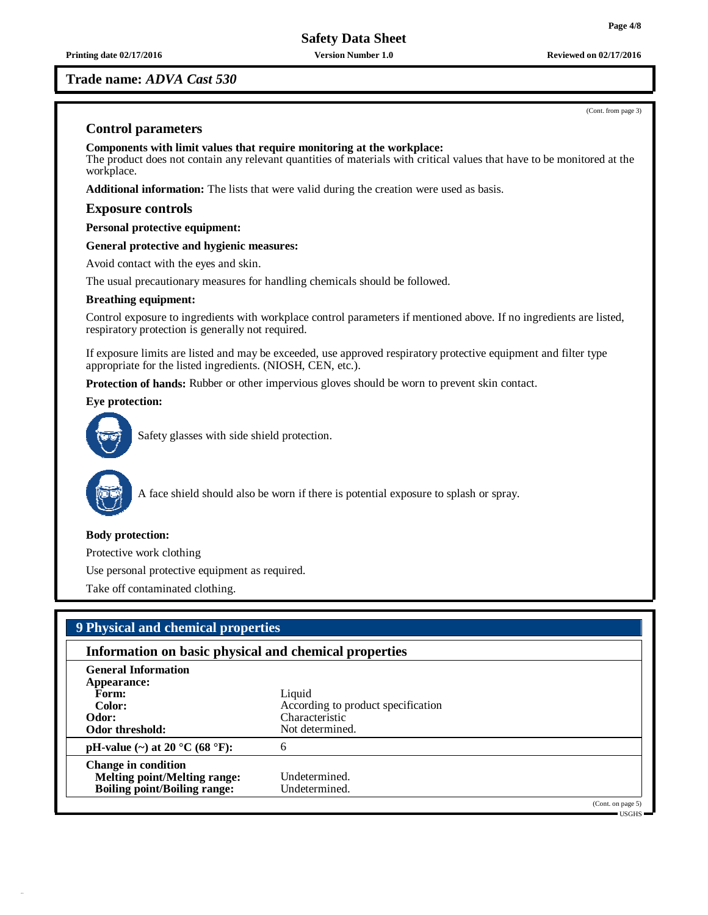**Trade name:** *ADVA Cast 530*

# **Control parameters**

**Components with limit values that require monitoring at the workplace:** The product does not contain any relevant quantities of materials with critical values that have to be monitored at the workplace.

**Additional information:** The lists that were valid during the creation were used as basis.

# **Exposure controls**

**Personal protective equipment:**

**General protective and hygienic measures:**

Avoid contact with the eyes and skin.

The usual precautionary measures for handling chemicals should be followed.

### **Breathing equipment:**

Control exposure to ingredients with workplace control parameters if mentioned above. If no ingredients are listed, respiratory protection is generally not required.

If exposure limits are listed and may be exceeded, use approved respiratory protective equipment and filter type appropriate for the listed ingredients. (NIOSH, CEN, etc.).

**Protection of hands:** Rubber or other impervious gloves should be worn to prevent skin contact.

**Eye protection:**



Safety glasses with side shield protection.



A face shield should also be worn if there is potential exposure to splash or spray.

# **Body protection:**

Protective work clothing

Use personal protective equipment as required.

Take off contaminated clothing.

| 9 Physical and chemical properties                                                                       |                                                                                   |                                                          |
|----------------------------------------------------------------------------------------------------------|-----------------------------------------------------------------------------------|----------------------------------------------------------|
| Information on basic physical and chemical properties                                                    |                                                                                   |                                                          |
| <b>General Information</b><br>Appearance:<br>Form:<br>Color:<br>Odor:<br>Odor threshold:                 | Liquid<br>According to product specification<br>Characteristic<br>Not determined. |                                                          |
| pH-value (~) at 20 $^{\circ}$ C (68 $^{\circ}$ F):                                                       | 6                                                                                 |                                                          |
| <b>Change in condition</b><br><b>Melting point/Melting range:</b><br><b>Boiling point/Boiling range:</b> | Undetermined.<br>Undetermined.                                                    |                                                          |
|                                                                                                          |                                                                                   | (Cont. on page 5)<br>$\blacksquare$ USGHS $\blacksquare$ |

(Cont. from page 3)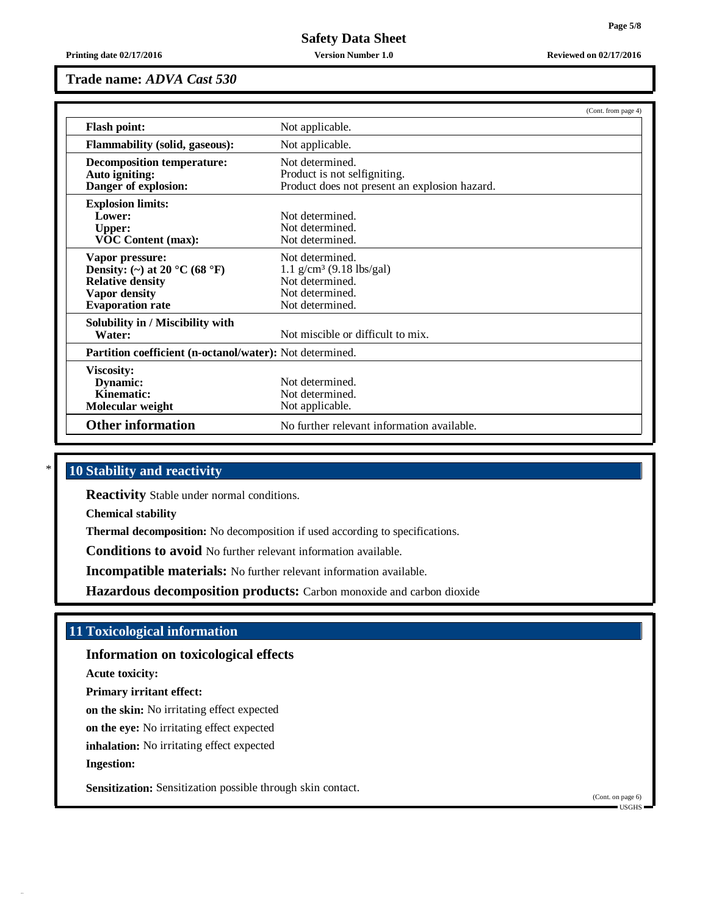**Printing date 02/17/2016 Version Number 1.0 Reviewed on 02/17/2016**

### **Trade name:** *ADVA Cast 530*

|                                                                                                                                | (Cont. from page 4)                                                                                                |
|--------------------------------------------------------------------------------------------------------------------------------|--------------------------------------------------------------------------------------------------------------------|
| <b>Flash point:</b>                                                                                                            | Not applicable.                                                                                                    |
| <b>Flammability (solid, gaseous):</b>                                                                                          | Not applicable.                                                                                                    |
| <b>Decomposition temperature:</b><br>Auto igniting:<br>Danger of explosion:                                                    | Not determined.<br>Product is not selfigniting.<br>Product does not present an explosion hazard.                   |
| <b>Explosion limits:</b><br>Lower:<br><b>Upper:</b><br><b>VOC Content (max):</b>                                               | Not determined.<br>Not determined.<br>Not determined.                                                              |
| Vapor pressure:<br>Density: (~) at 20 °C (68 °F)<br><b>Relative density</b><br><b>Vapor density</b><br><b>Evaporation rate</b> | Not determined.<br>$1.1$ g/cm <sup>3</sup> (9.18 lbs/gal)<br>Not determined.<br>Not determined.<br>Not determined. |
| Solubility in / Miscibility with<br>Water:                                                                                     | Not miscible or difficult to mix.                                                                                  |
| Partition coefficient (n-octanol/water): Not determined.                                                                       |                                                                                                                    |
| <b>Viscosity:</b><br>Dynamic:<br>Kinematic:<br>Molecular weight                                                                | Not determined.<br>Not determined.<br>Not applicable.                                                              |
| <b>Other information</b>                                                                                                       | No further relevant information available.                                                                         |

# \* **10 Stability and reactivity**

**Reactivity** Stable under normal conditions.

**Chemical stability**

**Thermal decomposition:** No decomposition if used according to specifications.

**Conditions to avoid** No further relevant information available.

**Incompatible materials:** No further relevant information available.

**Hazardous decomposition products:** Carbon monoxide and carbon dioxide

# **11 Toxicological information**

**Information on toxicological effects**

**Acute toxicity:**

**Primary irritant effect:**

**on the skin:** No irritating effect expected

**on the eye:** No irritating effect expected

**inhalation:** No irritating effect expected

**Ingestion:**

**Sensitization:** Sensitization possible through skin contact.

(Cont. on page 6)  $\blacksquare$  USGHS  $\blacksquare$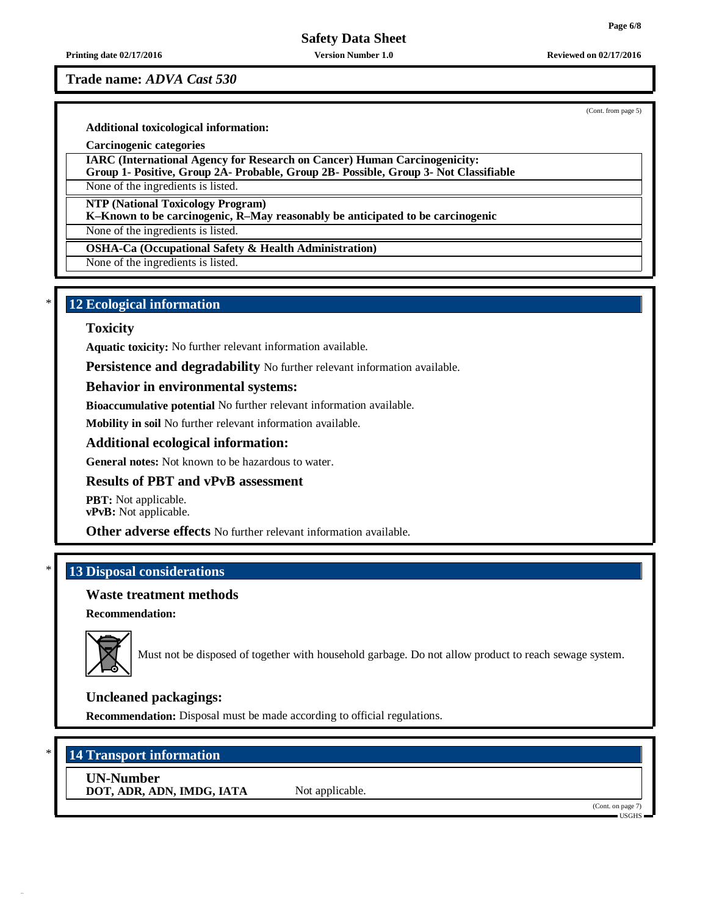**Printing date 02/17/2016 Version Number 1.0 Reviewed on 02/17/2016**

**Trade name:** *ADVA Cast 530*

(Cont. from page 5)

**Additional toxicological information:**

**Carcinogenic categories**

**IARC (International Agency for Research on Cancer) Human Carcinogenicity:**

**Group 1- Positive, Group 2A- Probable, Group 2B- Possible, Group 3- Not Classifiable**

None of the ingredients is listed.

**NTP (National Toxicology Program)**

**K–Known to be carcinogenic, R–May reasonably be anticipated to be carcinogenic**

None of the ingredients is listed.

**OSHA-Ca (Occupational Safety & Health Administration)**

None of the ingredients is listed.

# \* **12 Ecological information**

### **Toxicity**

**Aquatic toxicity:** No further relevant information available.

**Persistence and degradability** No further relevant information available.

# **Behavior in environmental systems:**

**Bioaccumulative potential** No further relevant information available.

**Mobility in soil** No further relevant information available.

# **Additional ecological information:**

**General notes:** Not known to be hazardous to water.

# **Results of PBT and vPvB assessment**

**PBT:** Not applicable. **vPvB:** Not applicable.

**Other adverse effects** No further relevant information available.

# \* **13 Disposal considerations**

# **Waste treatment methods**

**Recommendation:**



Must not be disposed of together with household garbage. Do not allow product to reach sewage system.

# **Uncleaned packagings:**

**Recommendation:** Disposal must be made according to official regulations.

# \* **14 Transport information**

**UN-Number DOT, ADR, ADN, IMDG, IATA** Not applicable.

(Cont. on page 7) USGHS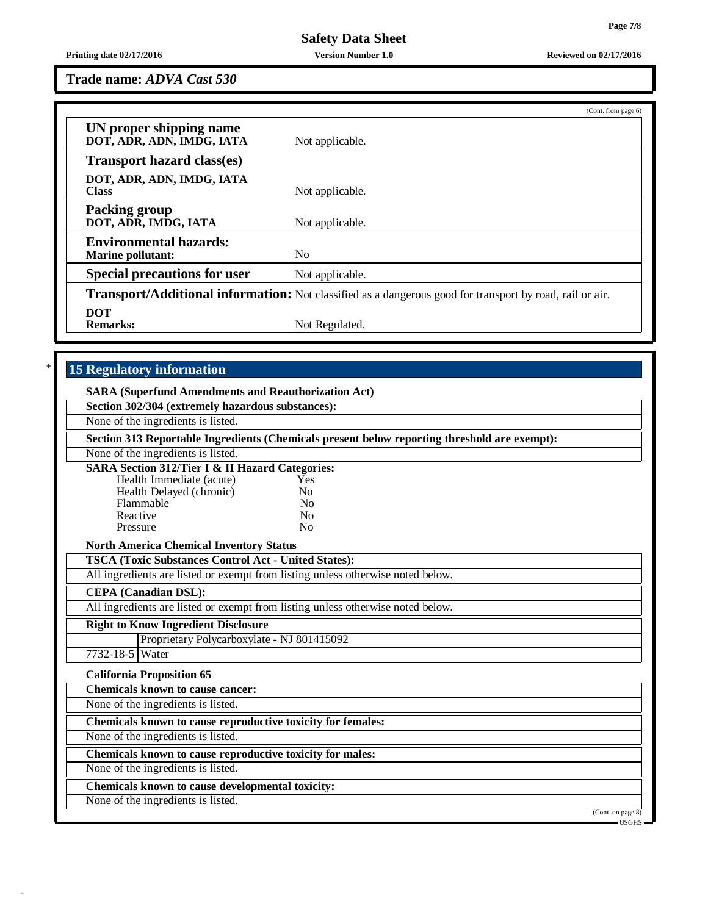**Printing date 02/17/2016 Version Number 1.0 Reviewed on 02/17/2016**

**Trade name:** *ADVA Cast 530*

|                                                           | (Cont. from page 6)                                                                                             |
|-----------------------------------------------------------|-----------------------------------------------------------------------------------------------------------------|
| UN proper shipping name<br>DOT, ADR, ADN, IMDG, IATA      | Not applicable.                                                                                                 |
| <b>Transport hazard class(es)</b>                         |                                                                                                                 |
| DOT, ADR, ADN, IMDG, IATA<br><b>Class</b>                 | Not applicable.                                                                                                 |
| <b>Packing group</b><br>DOT, ADR, IMDG, IATA              | Not applicable.                                                                                                 |
| <b>Environmental hazards:</b><br><b>Marine pollutant:</b> | N <sub>0</sub>                                                                                                  |
| <b>Special precautions for user</b>                       | Not applicable.                                                                                                 |
|                                                           | <b>Transport/Additional information:</b> Not classified as a dangerous good for transport by road, rail or air. |
| <b>DOT</b><br><b>Remarks:</b>                             | Not Regulated.                                                                                                  |

# \* **15 Regulatory information**

| <b>SARA (Superfund Amendments and Reauthorization Act)</b>  |                                                                                              |                                    |
|-------------------------------------------------------------|----------------------------------------------------------------------------------------------|------------------------------------|
| Section 302/304 (extremely hazardous substances):           |                                                                                              |                                    |
| None of the ingredients is listed.                          |                                                                                              |                                    |
|                                                             | Section 313 Reportable Ingredients (Chemicals present below reporting threshold are exempt): |                                    |
| None of the ingredients is listed.                          |                                                                                              |                                    |
| <b>SARA Section 312/Tier I &amp; II Hazard Categories:</b>  |                                                                                              |                                    |
| Health Immediate (acute)                                    | Yes                                                                                          |                                    |
| Health Delayed (chronic)                                    | No                                                                                           |                                    |
| Flammable                                                   | No                                                                                           |                                    |
| Reactive                                                    | N <sub>0</sub>                                                                               |                                    |
| Pressure                                                    | N <sub>0</sub>                                                                               |                                    |
| <b>North America Chemical Inventory Status</b>              |                                                                                              |                                    |
| <b>TSCA (Toxic Substances Control Act - United States):</b> |                                                                                              |                                    |
|                                                             | All ingredients are listed or exempt from listing unless otherwise noted below.              |                                    |
| <b>CEPA</b> (Canadian DSL):                                 |                                                                                              |                                    |
|                                                             | All ingredients are listed or exempt from listing unless otherwise noted below.              |                                    |
| <b>Right to Know Ingredient Disclosure</b>                  |                                                                                              |                                    |
| Proprietary Polycarboxylate - NJ 801415092                  |                                                                                              |                                    |
| 7732-18-5 Water                                             |                                                                                              |                                    |
| <b>California Proposition 65</b>                            |                                                                                              |                                    |
| <b>Chemicals known to cause cancer:</b>                     |                                                                                              |                                    |
| None of the ingredients is listed.                          |                                                                                              |                                    |
| Chemicals known to cause reproductive toxicity for females: |                                                                                              |                                    |
| None of the ingredients is listed.                          |                                                                                              |                                    |
| Chemicals known to cause reproductive toxicity for males:   |                                                                                              |                                    |
| None of the ingredients is listed.                          |                                                                                              |                                    |
| Chemicals known to cause developmental toxicity:            |                                                                                              |                                    |
| None of the ingredients is listed.                          |                                                                                              |                                    |
|                                                             |                                                                                              | (Cont. on page 8)<br>$-$ usghs $-$ |